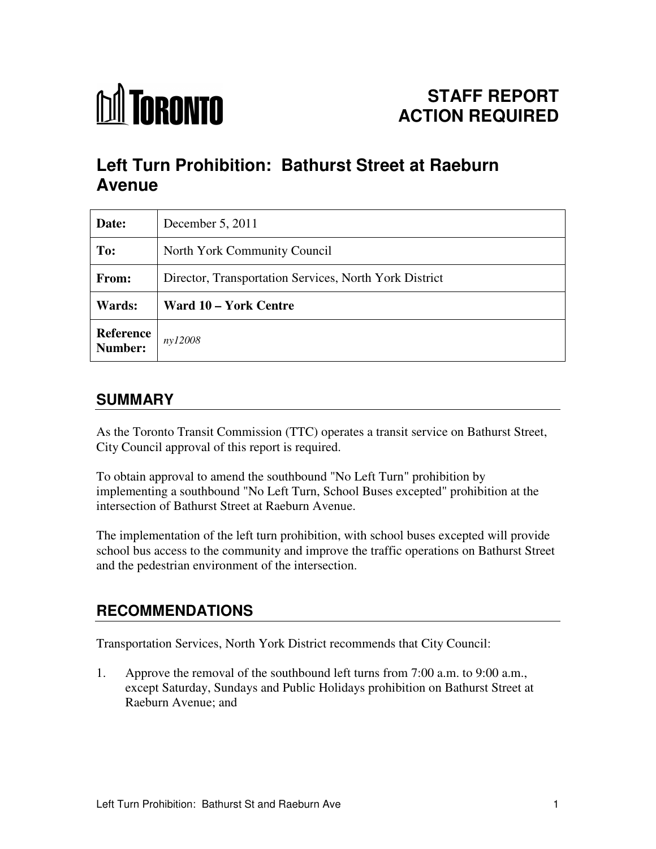

# **Left Turn Prohibition: Bathurst Street at Raeburn Avenue**

| Date:                | December 5, 2011                                       |
|----------------------|--------------------------------------------------------|
| To:                  | North York Community Council                           |
| From:                | Director, Transportation Services, North York District |
| Wards:               | Ward 10 – York Centre                                  |
| Reference<br>Number: | ny12008                                                |

## **SUMMARY**

As the Toronto Transit Commission (TTC) operates a transit service on Bathurst Street, City Council approval of this report is required.

To obtain approval to amend the southbound "No Left Turn" prohibition by implementing a southbound "No Left Turn, School Buses excepted" prohibition at the intersection of Bathurst Street at Raeburn Avenue.

The implementation of the left turn prohibition, with school buses excepted will provide school bus access to the community and improve the traffic operations on Bathurst Street and the pedestrian environment of the intersection.

## **RECOMMENDATIONS**

Transportation Services, North York District recommends that City Council:

1. Approve the removal of the southbound left turns from 7:00 a.m. to 9:00 a.m., except Saturday, Sundays and Public Holidays prohibition on Bathurst Street at Raeburn Avenue; and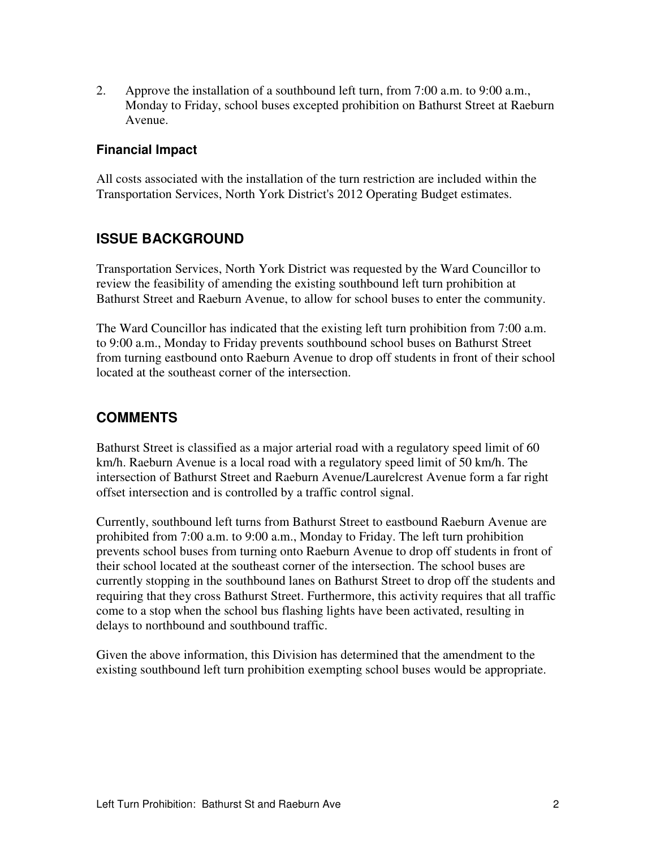2. Approve the installation of a southbound left turn, from 7:00 a.m. to 9:00 a.m., Monday to Friday, school buses excepted prohibition on Bathurst Street at Raeburn Avenue.

#### **Financial Impact**

All costs associated with the installation of the turn restriction are included within the Transportation Services, North York District's 2012 Operating Budget estimates.

#### **ISSUE BACKGROUND**

Transportation Services, North York District was requested by the Ward Councillor to review the feasibility of amending the existing southbound left turn prohibition at Bathurst Street and Raeburn Avenue, to allow for school buses to enter the community.

The Ward Councillor has indicated that the existing left turn prohibition from 7:00 a.m. to 9:00 a.m., Monday to Friday prevents southbound school buses on Bathurst Street from turning eastbound onto Raeburn Avenue to drop off students in front of their school located at the southeast corner of the intersection.

#### **COMMENTS**

Bathurst Street is classified as a major arterial road with a regulatory speed limit of 60 km/h. Raeburn Avenue is a local road with a regulatory speed limit of 50 km/h. The intersection of Bathurst Street and Raeburn Avenue/Laurelcrest Avenue form a far right offset intersection and is controlled by a traffic control signal.

Currently, southbound left turns from Bathurst Street to eastbound Raeburn Avenue are prohibited from 7:00 a.m. to 9:00 a.m., Monday to Friday. The left turn prohibition prevents school buses from turning onto Raeburn Avenue to drop off students in front of their school located at the southeast corner of the intersection. The school buses are currently stopping in the southbound lanes on Bathurst Street to drop off the students and requiring that they cross Bathurst Street. Furthermore, this activity requires that all traffic come to a stop when the school bus flashing lights have been activated, resulting in delays to northbound and southbound traffic.

Given the above information, this Division has determined that the amendment to the existing southbound left turn prohibition exempting school buses would be appropriate.